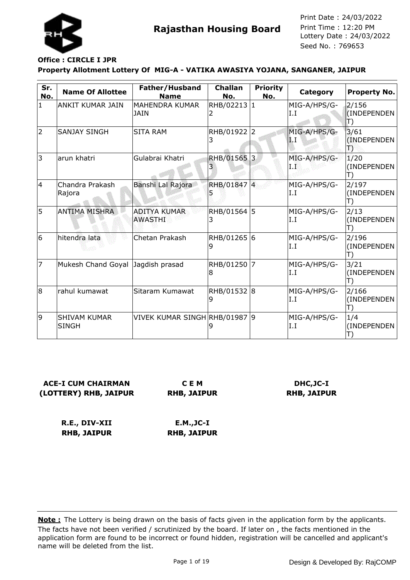

#### **Property Allotment Lottery Of MIG-A - VATIKA AWASIYA YOJANA, SANGANER, JAIPUR Office : CIRCLE I JPR**

| Sr.<br>No. | <b>Name Of Allottee</b>             | Father/Husband<br><b>Name</b>         | <b>Challan</b><br>No. | <b>Priority</b><br>No. | Category             | Property No.               |
|------------|-------------------------------------|---------------------------------------|-----------------------|------------------------|----------------------|----------------------------|
| 1          | ANKIT KUMAR JAIN                    | MAHENDRA KUMAR<br>JAIN                | RHB/02213 1<br>2      |                        | MIG-A/HPS/G-<br>I.I  | 2/156<br>(INDEPENDEN<br>T) |
| 2          | <b>SANJAY SINGH</b>                 | <b>SITA RAM</b>                       | RHB/01922 2<br>3      |                        | MIG-A/HPS/G-<br>1. Г | 3/61<br>(INDEPENDEN)<br>Ð  |
| 3          | arun khatri                         | Gulabrai Khatri                       | RHB/01565 3<br>3      |                        | MIG-A/HPS/G-<br>1. I | 1/20<br>(INDEPENDEN<br>T)  |
| 14         | Chandra Prakash<br>Rajora           | Banshi Lal Rajora                     | RHB/01847 4           |                        | MIG-A/HPS/G-<br>I.I  | 2/197<br>(INDEPENDEN<br>T) |
| 5          | <b>ANTIMA MISHRA</b>                | <b>ADITYA KUMAR</b><br><b>AWASTHI</b> | RHB/01564 5<br>3      |                        | MIG-A/HPS/G-<br>I.I  | 2/13<br>(INDEPENDEN<br>T)  |
| 6          | hitendra lata                       | Chetan Prakash                        | RHB/01265 6<br>9      |                        | MIG-A/HPS/G-<br>I.I  | 2/196<br>(INDEPENDEN<br>T) |
| 17         | Mukesh Chand Goyal Jagdish prasad   |                                       | RHB/01250<br>8        | 7                      | MIG-A/HPS/G-<br>I.I  | 3/21<br>(INDEPENDEN<br>T)  |
| 8          | rahul kumawat                       | Sitaram Kumawat                       | RHB/01532 8<br>9      |                        | MIG-A/HPS/G-<br>I.I  | 2/166<br>(INDEPENDEN<br>T) |
| 9          | <b>SHIVAM KUMAR</b><br><b>SINGH</b> | VIVEK KUMAR SINGH RHB/01987 9         |                       |                        | MIG-A/HPS/G-<br>I.I  | 1/4<br>(INDEPENDEN         |

**ACE-I CUM CHAIRMAN (LOTTERY) RHB, JAIPUR**

**C E M RHB, JAIPUR**

**DHC,JC-I RHB, JAIPUR**

**R.E., DIV-XII RHB, JAIPUR E.M.,JC-I RHB, JAIPUR**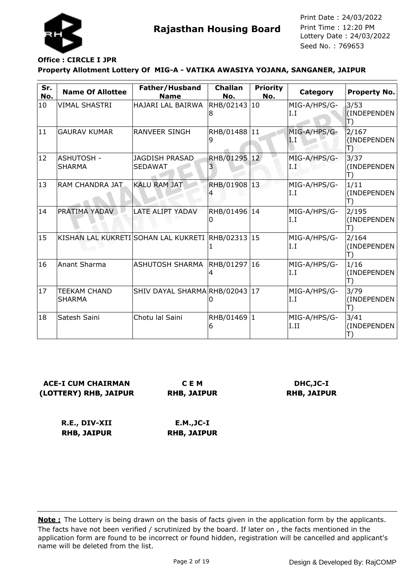

### **Office : CIRCLE I JPR**

#### **Property Allotment Lottery Of MIG-A - VATIKA AWASIYA YOJANA, SANGANER, JAIPUR**

| Sr.<br>No.   | <b>Name Of Allottee</b>              | Father/Husband<br><b>Name</b>                     | <b>Challan</b><br>No. | <b>Priority</b><br>No. | Category             | Property No.                              |
|--------------|--------------------------------------|---------------------------------------------------|-----------------------|------------------------|----------------------|-------------------------------------------|
| 10           | VIMAL SHASTRI                        | HAJARI LAL BAIRWA                                 | RHB/02143 10<br>8     |                        | MIG-A/HPS/G-<br>I.I  | 3/53<br>(INDEPENDEN<br>$\ket{\mathsf{T}}$ |
| 11           | <b>GAURAV KUMAR</b>                  | RANVEER SINGH                                     | RHB/01488 11<br>9     |                        | MIG-A/HPS/G-<br>1.1  | 2/167<br>(INDEPENDEN<br>T)                |
| $ 12\rangle$ | <b>ASHUTOSH -</b><br><b>SHARMA</b>   | JAGDISH PRASAD<br><b>SEDAWAT</b>                  | RHB/01295 12<br>3     |                        | MIG-A/HPS/G-<br>I.Ë  | 3/37<br>(INDEPENDEN<br>T)                 |
| 13           | RAM CHANDRA JAT                      | <b>KALU RAM JAT</b>                               | RHB/01908 13          |                        | MIG-A/HPS/G-<br>I.I  | 1/11<br>(INDEPENDEN<br>T)                 |
| 14           | PRATIMA YADAV                        | LATE ALIPT YADAV                                  | RHB/01496 14<br>0     |                        | MIG-A/HPS/G-<br>I.I  | 2/195<br>(INDEPENDEN<br>T)                |
| 15           |                                      | KISHAN LAL KUKRETI SOHAN LAL KUKRETI RHB/02313 15 |                       |                        | MIG-A/HPS/G-<br>I.I  | 2/164<br>(INDEPENDEN<br>T)                |
| 16           | Anant Sharma                         | ASHUTOSH SHARMA                                   | RHB/01297 16<br>4     |                        | MIG-A/HPS/G-<br>I.I  | 1/16<br>(INDEPENDEN<br>T)                 |
| 17           | <b>TEEKAM CHAND</b><br><b>SHARMA</b> | SHIV DAYAL SHARMA RHB/02043 17                    |                       |                        | MIG-A/HPS/G-<br>I.I  | 3/79<br>(INDEPENDEN<br>T)                 |
| 18           | Satesh Saini                         | Chotu lal Saini                                   | RHB/01469 1<br>6      |                        | MIG-A/HPS/G-<br>I.II | 3/41<br>(INDEPENDEN                       |

### **ACE-I CUM CHAIRMAN (LOTTERY) RHB, JAIPUR**

**C E M RHB, JAIPUR**

### **DHC,JC-I RHB, JAIPUR**

**R.E., DIV-XII RHB, JAIPUR E.M.,JC-I RHB, JAIPUR**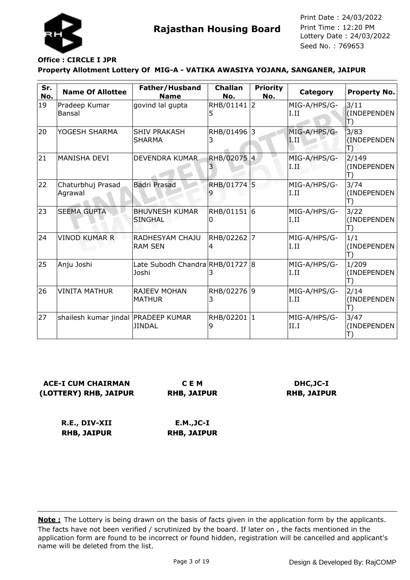

## **Office : CIRCLE I JPR**

#### **Property Allotment Lottery Of MIG-A - VATIKA AWASIYA YOJANA, SANGANER, JAIPUR**

| Sr.<br>No. | <b>Name Of Allottee</b>             | Father/Husband<br><b>Name</b>            | <b>Challan</b><br>No. | <b>Priority</b><br>No. | Category                | Property No.                              |
|------------|-------------------------------------|------------------------------------------|-----------------------|------------------------|-------------------------|-------------------------------------------|
| 19         | Pradeep Kumar<br>Bansal             | govind lal gupta                         | RHB/01141 2<br>5      |                        | MIG-A/HPS/G-<br>I.II    | 3/11<br>(INDEPENDEN<br>$\ket{\mathsf{T}}$ |
| 20         | YOGESH SHARMA                       | <b>SHIV PRAKASH</b><br>SHARMA            | RHB/01496 3<br>3      |                        | MIG-A/HPS/G-<br>$1.\Pi$ | 3/83<br>(INDEPENDEN)<br>Ð                 |
| 21         | <b>MANISHA DEVI</b>                 | DEVENDRA KUMAR                           | RHB/02075 4<br>3      |                        | MIG-A/HPS/G-<br>I.II    | 2/149<br>(INDEPENDEN<br>T)                |
| 22         | Chaturbhuj Prasad<br>Agrawal        | <b>Badri Prasad</b>                      | RHB/01774 5           |                        | MIG-A/HPS/G-<br>I.II    | 3/74<br>(INDEPENDEN<br>T)                 |
| 23         | <b>SEEMA GUPTA</b>                  | <b>BHUVNESH KUMAR</b><br><b>SINGHAL</b>  | RHB/01151 6<br>0      |                        | MIG-A/HPS/G-<br>I.II    | 3/22<br>(INDEPENDEN<br>T)                 |
| 24         | <b>VINOD KUMAR R</b>                | RADHESYAM CHAJU<br><b>RAM SEN</b>        | RHB/02262 7<br>4      |                        | MIG-A/HPS/G-<br>I.II    | 1/1<br>(INDEPENDEN<br>T)                  |
| 25         | Anju Joshi                          | Late Subodh Chandra RHB/01727 8<br>Joshi | 3                     |                        | MIG-A/HPS/G-<br>I.II    | 1/209<br>(INDEPENDEN<br>T)                |
| 26         | <b>VINITA MATHUR</b>                | <b>RAJEEV MOHAN</b><br><b>MATHUR</b>     | RHB/02276 9<br>3      |                        | MIG-A/HPS/G-<br>I.II    | 2/14<br>(INDEPENDEN<br>T)                 |
| 27         | shailesh kumar jindal PRADEEP KUMAR | <b>JINDAL</b>                            | RHB/02201 1<br>9      |                        | MIG-A/HPS/G-<br>II.I    | 3/47<br>(INDEPENDEN<br>T)                 |

#### **ACE-I CUM CHAIRMAN (LOTTERY) RHB, JAIPUR C E M**

**RHB, JAIPUR**

### **DHC,JC-I RHB, JAIPUR**

**R.E., DIV-XII RHB, JAIPUR E.M.,JC-I RHB, JAIPUR**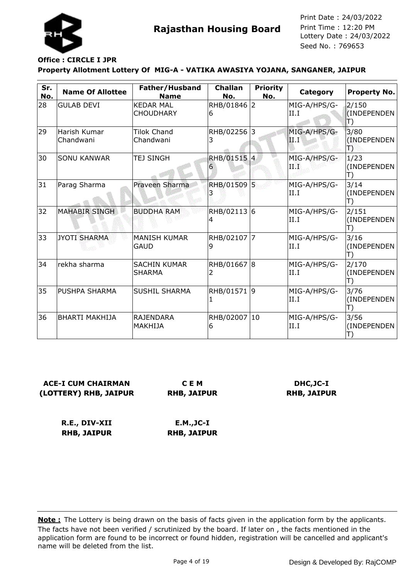

## **Office : CIRCLE I JPR**

#### **Property Allotment Lottery Of MIG-A - VATIKA AWASIYA YOJANA, SANGANER, JAIPUR**

| Sr.<br>No. | <b>Name Of Allottee</b>   | Father/Husband<br><b>Name</b>        | <b>Challan</b><br>No. | <b>Priority</b><br>No. | Category             | <b>Property No.</b>                   |
|------------|---------------------------|--------------------------------------|-----------------------|------------------------|----------------------|---------------------------------------|
| 28         | <b>GULAB DEVI</b>         | <b>KEDAR MAL</b><br><b>CHOUDHARY</b> | RHB/01846 2<br>6      |                        | MIG-A/HPS/G-<br>II.I | 2/150<br>(INDEPENDEN<br>$\mathbb{T})$ |
| 29         | Harish Kumar<br>Chandwani | <b>Tilok Chand</b><br>Chandwani      | RHB/02256 3<br>3      |                        | MIG-A/HPS/G-<br>II.I | 3/80<br>(INDEPENDEN<br>Ð              |
| 30         | <b>SONU KANWAR</b>        | <b>TEJ SINGH</b>                     | RHB/01515 4<br>6      |                        | MIG-A/HPS/G-<br>ПW   | 1/23<br>(INDEPENDEN<br>T)             |
| 31         | Parag Sharma              | Praveen Sharma                       | RHB/01509 5           |                        | MIG-A/HPS/G-<br>II.I | 3/14<br>(INDEPENDEN<br>T)             |
| 32         | <b>MAHABIR SINGH</b>      | <b>BUDDHA RAM</b>                    | RHB/02113 6<br>4      |                        | MIG-A/HPS/G-<br>II.I | 2/151<br>(INDEPENDEN<br>T)            |
| 33         | <b>JYOTI SHARMA</b>       | <b>MANISH KUMAR</b><br><b>GAUD</b>   | RHB/02107 7<br>9      |                        | MIG-A/HPS/G-<br>II.I | 3/16<br>(INDEPENDEN<br>T)             |
| 34         | rekha sharma              | <b>SACHIN KUMAR</b><br><b>SHARMA</b> | RHB/01667 8<br>2      |                        | MIG-A/HPS/G-<br>II.I | 2/170<br>(INDEPENDEN<br>T)            |
| 35         | PUSHPA SHARMA             | <b>SUSHIL SHARMA</b>                 | RHB/01571 9           |                        | MIG-A/HPS/G-<br>II.I | 3/76<br>(INDEPENDEN<br>T)             |
| 36         | <b>BHARTI MAKHIJA</b>     | <b>RAJENDARA</b><br><b>MAKHIJA</b>   | RHB/02007 10<br>6     |                        | MIG-A/HPS/G-<br>II.I | 3/56<br>(INDEPENDEN                   |

### **ACE-I CUM CHAIRMAN (LOTTERY) RHB, JAIPUR**

**C E M RHB, JAIPUR**

### **DHC,JC-I RHB, JAIPUR**

**R.E., DIV-XII RHB, JAIPUR E.M.,JC-I RHB, JAIPUR**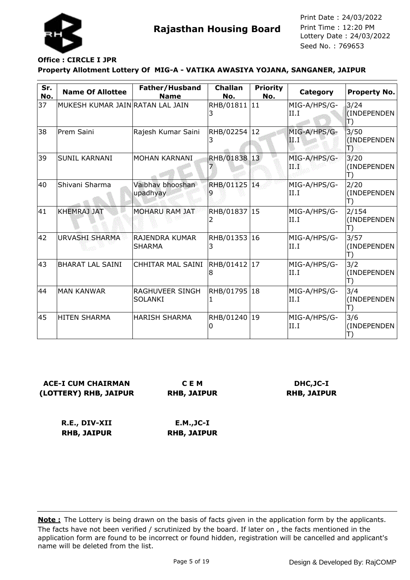

## **Office : CIRCLE I JPR**

#### **Property Allotment Lottery Of MIG-A - VATIKA AWASIYA YOJANA, SANGANER, JAIPUR**

| Sr.<br>No. | <b>Name Of Allottee</b>          | Father/Husband<br><b>Name</b>     | <b>Challan</b><br>No. | <b>Priority</b><br>No. | Category             | <b>Property No.</b>                       |
|------------|----------------------------------|-----------------------------------|-----------------------|------------------------|----------------------|-------------------------------------------|
| 37         | MUKESH KUMAR JAIN RATAN LAL JAIN |                                   | RHB/01811 11          |                        | MIG-A/HPS/G-<br>II.I | 3/24<br>(INDEPENDEN<br>$\ket{\mathsf{T}}$ |
| 38         | Prem Saini                       | Rajesh Kumar Saini                | RHB/02254 12<br>3     |                        | MIG-A/HPS/G-<br>Ш    | 3/50<br>(INDEPENDEN<br>T)                 |
| 39         | <b>SUNIL KARNANI</b>             | MOHAN KARNANI                     | RHB/01838 13          |                        | MIG-A/HPS/G-<br>ПW   | 3/20<br>(INDEPENDEN<br>T)                 |
| 40         | Shivani Sharma                   | Vaibhay bhooshan<br>upadhyay      | RHB/01125 14          |                        | MIG-A/HPS/G-<br>II.I | 2/20<br>(INDEPENDEN<br>L,                 |
| 41         | <b>KHEMRAJ JAT</b>               | <b>MOHARU RAM JAT</b>             | RHB/01837 15<br>2     |                        | MIG-A/HPS/G-<br>II.I | 2/154<br>(INDEPENDEN<br>T)                |
| 42         | <b>URVASHI SHARMA</b>            | RAJENDRA KUMAR<br><b>SHARMA</b>   | RHB/01353<br>3        | 16                     | MIG-A/HPS/G-<br>II.I | 3/57<br>(INDEPENDEN<br>Т)                 |
| 43         | <b>BHARAT LAL SAINI</b>          | CHHITAR MAL SAINI                 | RHB/01412 17<br>8     |                        | MIG-A/HPS/G-<br>II.I | 3/2<br>(INDEPENDEN<br>T)                  |
| 44         | <b>MAN KANWAR</b>                | RAGHUVEER SINGH<br><b>SOLANKI</b> | RHB/01795<br>1        | 18                     | MIG-A/HPS/G-<br>II.I | 3/4<br>(INDEPENDEN<br>T)                  |
| 45         | <b>HITEN SHARMA</b>              | <b>HARISH SHARMA</b>              | RHB/01240 19          |                        | MIG-A/HPS/G-<br>II.I | 3/6<br>(INDEPENDEN                        |

**ACE-I CUM CHAIRMAN (LOTTERY) RHB, JAIPUR**

**C E M RHB, JAIPUR**

**DHC,JC-I RHB, JAIPUR**

**R.E., DIV-XII RHB, JAIPUR E.M.,JC-I RHB, JAIPUR**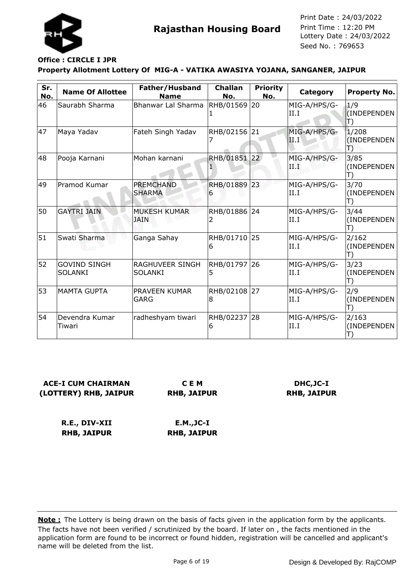

#### **Property Allotment Lottery Of MIG-A - VATIKA AWASIYA YOJANA, SANGANER, JAIPUR Office : CIRCLE I JPR**

| Sr.<br>No. | <b>Name Of Allottee</b>               | Father/Husband<br><b>Name</b>      | <b>Challan</b><br>No. | <b>Priority</b><br>No. | Category             | Property No.                           |
|------------|---------------------------------------|------------------------------------|-----------------------|------------------------|----------------------|----------------------------------------|
| 46         | Saurabh Sharma                        | <b>Bhanwar Lal Sharma</b>          | RHB/01569<br>1        | 20                     | MIG-A/HPS/G-<br>II.I | 1/9<br>(INDEPENDEN<br>$\ket{\!\!\top}$ |
| 47         | Maya Yadav                            | Fateh Singh Yadav                  | RHB/02156 21          |                        | MIG-A/HPS/G-<br>11.T | 1/208<br>(INDEPENDEN<br>Ð              |
| 48         | Pooja Karnani                         | Mohan karnani                      | RHB/01851 22          |                        | MIG-A/HPS/G-<br>ПË   | 3/85<br>(INDEPENDEN<br>T)              |
| 49         | Pramod Kumar                          | <b>PREMCHAND</b><br><b>SHARMA</b>  | RHB/01889 23<br>6     |                        | MIG-A/HPS/G-<br>II.I | 3/70<br>(INDEPENDEN<br>T)              |
| 50         | <b>GAYTRI JAIN</b>                    | <b>MUKESH KUMAR</b><br><b>JAIN</b> | RHB/01886 24<br>2     |                        | MIG-A/HPS/G-<br>II.I | 3/44<br>(INDEPENDEN<br>T)              |
| 51         | Swati Sharma                          | Ganga Sahay                        | RHB/01710 25<br>6     |                        | MIG-A/HPS/G-<br>II.I | 2/162<br>(INDEPENDEN<br>T)             |
| 52         | <b>GOVIND SINGH</b><br><b>SOLANKI</b> | RAGHUVEER SINGH<br><b>SOLANKI</b>  | RHB/01797 26<br>5     |                        | MIG-A/HPS/G-<br>II.I | 3/23<br>(INDEPENDEN<br>T)              |
| 53         | <b>MAMTA GUPTA</b>                    | PRAVEEN KUMAR<br><b>GARG</b>       | RHB/02108 27<br>8     |                        | MIG-A/HPS/G-<br>II.I | 2/9<br>(INDEPENDEN<br>T)               |
| 54         | Devendra Kumar<br>Tiwari              | radheshyam tiwari                  | RHB/02237 28<br>6     |                        | MIG-A/HPS/G-<br>II.I | 2/163<br>(INDEPENDEN<br>T)             |

| <b>ACE-I CUM CHAIRMAN</b> | C I    |
|---------------------------|--------|
| (LOTTERY) RHB, JAIPUR     | RHB, J |

**C E M AIPUR** 

**DHC,JC-I RHB, JAIPUR**

**R.E., DIV-XII RHB, JAIPUR E.M.,JC-I RHB, JAIPUR**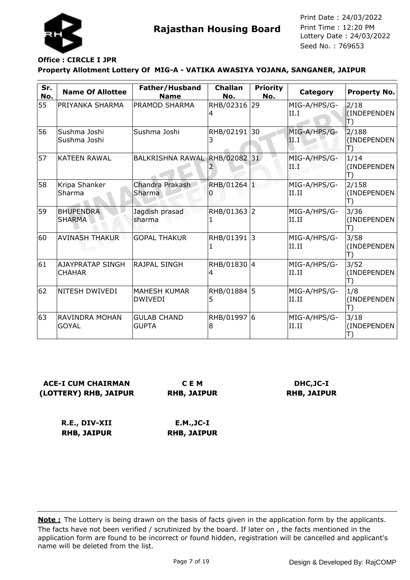

#### **Property Allotment Lottery Of MIG-A - VATIKA AWASIYA YOJANA, SANGANER, JAIPUR Office : CIRCLE I JPR**

| Sr.<br>No. | <b>Name Of Allottee</b>                  | Father/Husband<br><b>Name</b>      | <b>Challan</b><br>No. | <b>Priority</b><br>No. | Category               | Property No.              |
|------------|------------------------------------------|------------------------------------|-----------------------|------------------------|------------------------|---------------------------|
| 55         | PRIYANKA SHARMA                          | <b>PRAMOD SHARMA</b>               | RHB/02316<br>4        | 29                     | MIG-A/HPS/G-<br>II.I   | 2/18<br>(INDEPENDEN<br>T) |
| 56         | Sushma Joshi<br>Sushma Joshi             | Sushma Joshi                       | RHB/02191 30<br>3     |                        | MIG-A/HPS/G-<br> II.I' | 2/188<br>(INDEPENDEN<br>Ð |
| 57         | <b>KATEEN RAWAL</b>                      | BALKRISHNA RAWAL RHB/02082 31      |                       |                        | MIG-A/HPS/G-<br>ПŦ     | 1/14<br>(INDEPENDEN<br>T) |
| 58         | Kripa Shanker<br>Sharma                  | Chandra Prakash<br>Sharma          | RHB/01264 1           |                        | MIG-A/HPS/G-<br>II.II  | 2/158<br>(INDEPENDEN      |
| 59         | <b>BHUPENDRA</b><br><b>SHARMA</b>        | Jagdish prasad<br>sharma           | RHB/01363 2           |                        | MIG-A/HPS/G-<br>II.II  | 3/36<br>(INDEPENDEN       |
| 60         | <b>AVINASH THAKUR</b>                    | <b>GOPAL THAKUR</b>                | RHB/01391             | l3                     | MIG-A/HPS/G-<br>II.II  | 3/58<br>(INDEPENDEN<br>T) |
| 61         | <b>AJAYPRATAP SINGH</b><br><b>CHAHAR</b> | <b>RAJPAL SINGH</b>                | RHB/01830 4<br>4      |                        | MIG-A/HPS/G-<br>II.II  | 3/52<br>(INDEPENDEN<br>T) |
| 62         | <b>NITESH DWIVEDI</b>                    | IMAHESH KUMAR<br><b>DWIVEDI</b>    | RHB/01884 5<br>5      |                        | MIG-A/HPS/G-<br>II.II  | 1/8<br>(INDEPENDEN<br>T)  |
| 63         | RAVINDRA MOHAN<br><b>GOYAL</b>           | <b>GULAB CHAND</b><br><b>GUPTA</b> | RHB/01997 6<br>8      |                        | MIG-A/HPS/G-<br>II.II  | 3/18<br>(INDEPENDEN       |

| <b>ACE-I CUM CHAIRMAN</b> |      |
|---------------------------|------|
| (LOTTERY) RHB, JAIPUR     | RHB, |

**C E M RHB, JAIPUR**

**DHC,JC-I RHB, JAIPUR**

**R.E., DIV-XII RHB, JAIPUR E.M.,JC-I RHB, JAIPUR**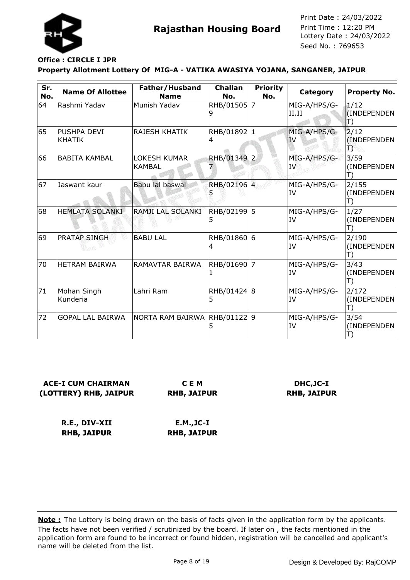

# **Office : CIRCLE I JPR**

#### **Property Allotment Lottery Of MIG-A - VATIKA AWASIYA YOJANA, SANGANER, JAIPUR**

| Sr.<br>No. | <b>Name Of Allottee</b>      | Father/Husband<br><b>Name</b>  | <b>Challan</b><br>No. | <b>Priority</b><br>No. | Category                  | <b>Property No.</b>                       |
|------------|------------------------------|--------------------------------|-----------------------|------------------------|---------------------------|-------------------------------------------|
| 64         | Rashmi Yadav                 | Munish Yadav                   | RHB/01505             | $\overline{7}$         | MIG-A/HPS/G-<br>II.II     | 1/12<br>(INDEPENDEN<br>$\ket{\mathsf{T}}$ |
| 65         | PUSHPA DEVI<br><b>KHATIK</b> | lRAJESH KHATIK                 | RHB/01892 1<br>4      |                        | MIG-A/HPS/G-<br><b>IV</b> | 2/12<br>(INDEPENDEN)<br>Ð                 |
| 66         | <b>BABITA KAMBAL</b>         | <b>LOKESH KUMAR</b><br> KAMBAL | RHB/01349             | $\overline{2}$         | MIG-A/HPS/G-<br><b>IV</b> | 3/59<br>(INDEPENDEN)<br>T)                |
| 67         | Jaswant kaur                 | Babu lal baswal                | RHB/02196 4           |                        | MIG-A/HPS/G-<br>IV        | 2/155<br>(INDEPENDEN<br>T)                |
| 68         | <b>HEMLATA SOLANKI</b>       | RAMJI LAL SOLANKI              | RHB/02199 5<br>5      |                        | MIG-A/HPS/G-<br>IV        | 1/27<br>(INDEPENDEN<br>T)                 |
| 69         | <b>PRATAP SINGH</b>          | <b>BABU LAL</b>                | RHB/01860 6<br>4      |                        | MIG-A/HPS/G-<br>IV        | 2/190<br>(INDEPENDEN<br>T)                |
| 70         | <b>HETRAM BAIRWA</b>         | RAMAVTAR BAIRWA                | RHB/01690<br>1        | 7                      | MIG-A/HPS/G-<br>IV        | 3/43<br>(INDEPENDEN<br>T)                 |
| 71         | Mohan Singh<br>Kunderia      | Lahri Ram                      | RHB/01424 8<br>5      |                        | MIG-A/HPS/G-<br>IV        | 2/172<br>(INDEPENDEN<br>T)                |
| 72         | <b>GOPAL LAL BAIRWA</b>      | NORTA RAM BAIRWA               | RHB/01122 9<br>5      |                        | MIG-A/HPS/G-<br>IV        | 3/54<br>(INDEPENDEN                       |

### **ACE-I CUM CHAIRMAN (LOTTERY) RHB, JAIPUR**

**C E M RHB, JAIPUR**

#### **DHC,JC-I RHB, JAIPUR**

**R.E., DIV-XII RHB, JAIPUR E.M.,JC-I RHB, JAIPUR**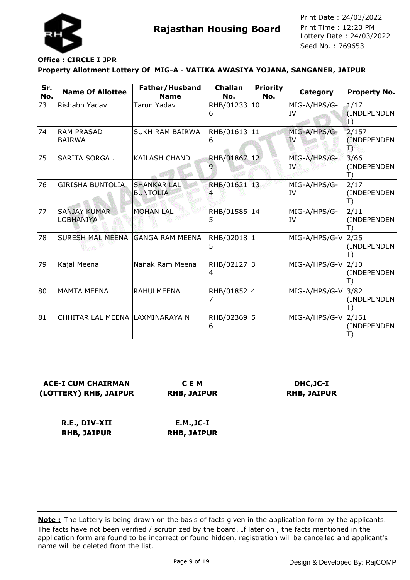

## **Office : CIRCLE I JPR**

#### **Property Allotment Lottery Of MIG-A - VATIKA AWASIYA YOJANA, SANGANER, JAIPUR**

| Sr.<br>No. | <b>Name Of Allottee</b>            | Father/Husband<br><b>Name</b>         | <b>Challan</b><br>No. | <b>Priority</b><br>No. | Category                  | <b>Property No.</b>       |
|------------|------------------------------------|---------------------------------------|-----------------------|------------------------|---------------------------|---------------------------|
| 73         | Rishabh Yadav                      | Tarun Yadav                           | RHB/01233 10<br>6     |                        | MIG-A/HPS/G-<br>IV        | 1/17<br>(INDEPENDEN<br>T) |
| 74         | <b>RAM PRASAD</b><br><b>BAIRWA</b> | <b>SUKH RAM BAIRWA</b>                | RHB/01613 11<br>6     |                        | MIG-A/HPS/G-<br><b>IV</b> | 2/157<br>(INDEPENDEN<br>Ð |
| 75         | SARITA SORGA.                      | <b>KAILASH CHAND</b>                  | RHB/01867 12          |                        | MIG-A/HPS/G-<br>IV        | 3/66<br>(INDEPENDEN<br>T) |
| 76         | <b>GIRISHA BUNTOLIA</b>            | <b>SHANKAR LAL</b><br><b>BUNTOLIA</b> | RHB/01621 13          |                        | MIG-A/HPS/G-<br>IV        | 2/17<br>(INDEPENDEN<br>T) |
| 77         | <b>SANJAY KUMAR</b><br>LOBHANIYA   | <b>MOHAN LAL</b>                      | RHB/01585 14<br>5     |                        | MIG-A/HPS/G-<br>IV        | 2/11<br>(INDEPENDEN       |
| 78         | SURESH MAL MEENA GANGA RAM MEENA   |                                       | RHB/02018 1<br>5      |                        | MIG-A/HPS/G-V             | 2/25<br>(INDEPENDEN       |
| 79         | Kajal Meena                        | Nanak Ram Meena                       | RHB/02127 3<br>4      |                        | MIG-A/HPS/G-V             | 2/10<br>(INDEPENDEN       |
| 80         | <b>MAMTA MEENA</b>                 | <b>RAHULMEENA</b>                     | RHB/01852 4           |                        | MIG-A/HPS/G-V             | 3/82<br>(INDEPENDEN       |
| 81         | CHHITAR LAL MEENA LAXMINARAYA N    |                                       | RHB/02369<br>6        | 5                      | MIG-A/HPS/G-V 2/161       | (INDEPENDEN               |

### **ACE-I CUM CHAIRMAN (LOTTERY) RHB, JAIPUR**

**C E M RHB, JAIPUR**

### **DHC,JC-I RHB, JAIPUR**

**R.E., DIV-XII RHB, JAIPUR E.M.,JC-I RHB, JAIPUR**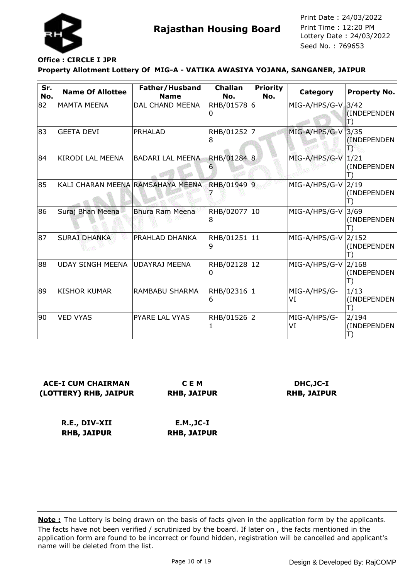

## **Office : CIRCLE I JPR**

#### **Property Allotment Lottery Of MIG-A - VATIKA AWASIYA YOJANA, SANGANER, JAIPUR**

| Sr.<br>No. | <b>Name Of Allottee</b>           | Father/Husband<br><b>Name</b> | <b>Challan</b><br>No. | <b>Priority</b><br>No. | Category           | <b>Property No.</b>           |
|------------|-----------------------------------|-------------------------------|-----------------------|------------------------|--------------------|-------------------------------|
| 82         | <b>MAMTA MEENA</b>                | DAL CHAND MEENA               | RHB/01578 6<br>O      |                        | MIG-A/HPS/G-V 3/42 | (INDEPENDEN                   |
| 83         | <b>GEETA DEVI</b>                 | PRHALAD                       | RHB/01252 7<br>8      |                        | MIG-A/HPS/G-V      | 3/35<br>(INDEPENDEN)<br>18    |
| 84         | KIRODI LAL MEENA                  | <b>BADARI LAL MEENA</b>       | RHB/01284 8<br>6      |                        | MIG-A/HPS/G-V      | 1/21<br>(INDEPENDEN           |
| 85         | KALI CHARAN MEENA RAMSAHAYA MEENA |                               | RHB/01949 9           |                        | MIG-A/HPS/G-V      | 2/19<br>(INDEPENDEN           |
| 86         | Suraj Bhan Meena                  | Bhura Ram Meena               | RHB/02077 10<br>8     |                        | MIG-A/HPS/G-V      | 3/69<br>(INDEPENDEN           |
| 87         | <b>SURAJ DHANKA</b>               | <b>PRAHLAD DHANKA</b>         | RHB/01251 11<br>9     |                        | MIG-A/HPS/G-V      | 2/152<br>(INDEPENDEN          |
| 88         | UDAY SINGH MEENA UDAYRAJ MEENA    |                               | RHB/02128 12<br>0     |                        | $MIG-A/HPS/G-V$    | 2/168<br>(INDEPENDEN          |
| 89         | <b>KISHOR KUMAR</b>               | RAMBABU SHARMA                | RHB/02316 1<br>6      |                        | MIG-A/HPS/G-<br>VI | 1/13<br>(INDEPENDEN<br>$\Box$ |
| 90         | <b>VED VYAS</b>                   | PYARE LAL VYAS                | RHB/01526 2           |                        | MIG-A/HPS/G-<br>VI | 2/194<br>(INDEPENDEN          |

### **ACE-I CUM CHAIRMAN (LOTTERY) RHB, JAIPUR**

**C E M RHB, JAIPUR**

### **DHC,JC-I RHB, JAIPUR**

**R.E., DIV-XII RHB, JAIPUR E.M.,JC-I RHB, JAIPUR**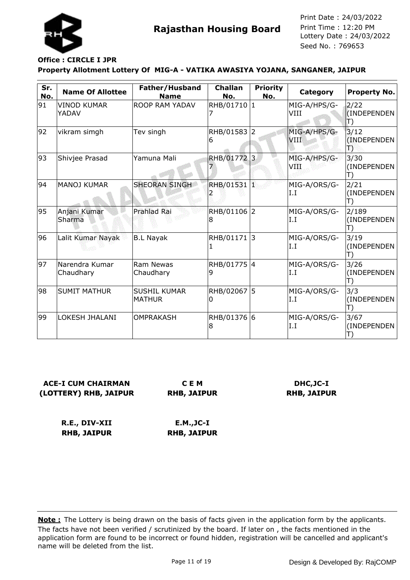

# **Office : CIRCLE I JPR**

#### **Property Allotment Lottery Of MIG-A - VATIKA AWASIYA YOJANA, SANGANER, JAIPUR**

| Sr.<br>No. | <b>Name Of Allottee</b>     | Father/Husband<br><b>Name</b>        | <b>Challan</b><br>No. | <b>Priority</b><br>No. | Category                    | Property No.                         |
|------------|-----------------------------|--------------------------------------|-----------------------|------------------------|-----------------------------|--------------------------------------|
| 91         | VINOD KUMAR<br>YADAV        | ROOP RAM YADAV                       | RHB/01710 1           |                        | MIG-A/HPS/G-<br>VIII        | 2/22<br>(INDEPENDEN<br>$\mathbb{T})$ |
| 92         | vikram simgh                | Tev singh                            | RHB/01583 2<br>6      |                        | MIG-A/HPS/G-<br><b>VIII</b> | 3/12<br>(INDEPENDEN<br>Ð             |
| 93         | Shivjee Prasad              | Yamuna Mali                          | RHB/01772             | $\overline{3}$         | MIG-A/HPS/G-<br>VIII        | 3/30<br>(INDEPENDEN<br>T)            |
| 94         | <b>MANOJ KUMAR</b>          | <b>SHEORAN SINGH</b>                 | RHB/01531 1           |                        | MIG-A/ORS/G-<br>I.I         | 2/21<br>(INDEPENDEN                  |
| 95         | Anjani Kumar<br>Sharma      | Prahlad Rai                          | RHB/01106 2<br>8      |                        | MIG-A/ORS/G-<br>I.I         | 2/189<br>(INDEPENDEN                 |
| 96         | Lalit Kumar Nayak           | <b>B.L Nayak</b>                     | RHB/01171 3<br>1      |                        | MIG-A/ORS/G-<br>I.I         | 3/19<br>(INDEPENDEN<br>T)            |
| 97         | Narendra Kumar<br>Chaudhary | Ram Newas<br>Chaudhary               | RHB/01775 4<br>9      |                        | MIG-A/ORS/G-<br>I.I         | 3/26<br>(INDEPENDEN<br>T)            |
| 98         | <b>SUMIT MATHUR</b>         | <b>SUSHIL KUMAR</b><br><b>MATHUR</b> | RHB/02067 5<br>0      |                        | MIG-A/ORS/G-<br>I.I         | 3/3<br>(INDEPENDEN<br>T)             |
| 99         | LOKESH JHALANI              | <b>OMPRAKASH</b>                     | RHB/01376 6<br>8      |                        | MIG-A/ORS/G-<br>I.I         | 3/67<br>(INDEPENDEN                  |

### **ACE-I CUM CHAIRMAN (LOTTERY) RHB, JAIPUR**

**C E M RHB, JAIPUR**

### **DHC,JC-I RHB, JAIPUR**

**R.E., DIV-XII RHB, JAIPUR E.M.,JC-I RHB, JAIPUR**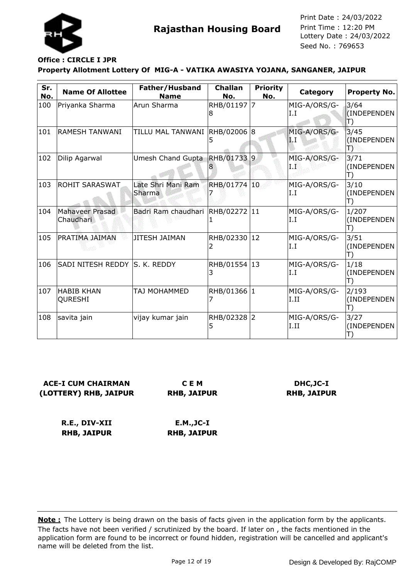

#### **Property Allotment Lottery Of MIG-A - VATIKA AWASIYA YOJANA, SANGANER, JAIPUR Office : CIRCLE I JPR**

| Sr.<br>No. | <b>Name Of Allottee</b>       | Father/Husband<br><b>Name</b>    | <b>Challan</b><br>No. | <b>Priority</b><br>No. | Category             | <b>Property No.</b>        |
|------------|-------------------------------|----------------------------------|-----------------------|------------------------|----------------------|----------------------------|
| 100        | Priyanka Sharma               | Arun Sharma                      | RHB/01197 7<br>18     |                        | MIG-A/ORS/G-<br>I.I  | 3/64<br>(INDEPENDEN<br>J)  |
| 101        | <b>RAMESH TANWANI</b>         | TILLU MAL TANWANI  RHB/02006  8  |                       |                        | MIG-A/ORS/G-<br>LI   | 3/45<br>(INDEPENDEN)<br>Ð  |
| 102        | Dilip Agarwal                 | Umesh Chand Gupta                | RHB/017339            |                        | MIG-A/ORS/G-<br>I.I  | 3/71<br>(INDEPENDEN<br>T)  |
| 103        | <b>ROHIT SARASWAT</b>         | Late Shri Mani Ram<br>Sharma     | RHB/01774 10          |                        | MIG-A/ORS/G-<br>I.I  | 3/10<br>(INDEPENDEN<br>T)  |
| 104        | Mahaveer Prasad<br>Chaudhari  | Badri Ram chaudhari RHB/02272 11 |                       |                        | MIG-A/ORS/G-<br>I.I  | 1/207<br>(INDEPENDEN<br>T) |
| 105        | PRATIMA JAIMAN                | <b>JITESH JAIMAN</b>             | RHB/02330 12          |                        | MIG-A/ORS/G-<br>I.I  | 3/51<br>(INDEPENDEN<br>T)  |
| 106        | SADI NITESH REDDY S. K. REDDY |                                  | RHB/01554 13<br>3     |                        | MIG-A/ORS/G-<br>I.I  | 1/18<br>(INDEPENDEN        |
| 107        | <b>HABIB KHAN</b><br>QURESHI  | TAJ MOHAMMED                     | RHB/01366 1           |                        | MIG-A/ORS/G-<br>I.II | 2/193<br>(INDEPENDEN<br>T) |
| 108        | savita jain                   | vijay kumar jain                 | RHB/02328 2<br>5      |                        | MIG-A/ORS/G-<br>I.II | 3/27<br>(INDEPENDEN        |

### **ACE-I CUM CHAIRMAN (LOTTERY) RHB, JAIPUR**

**C E M RHB, JAIPUR**

### **DHC,JC-I RHB, JAIPUR**

**R.E., DIV-XII RHB, JAIPUR E.M.,JC-I RHB, JAIPUR**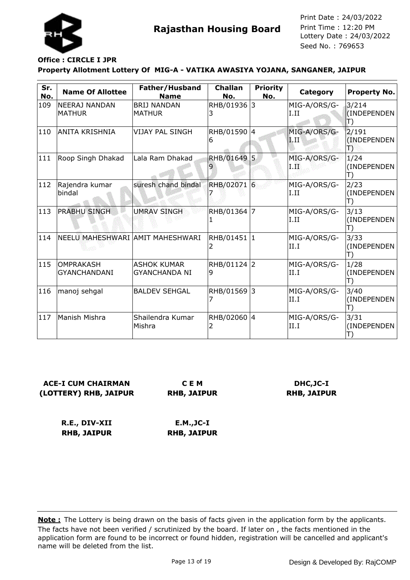

## **Office : CIRCLE I JPR**

#### **Property Allotment Lottery Of MIG-A - VATIKA AWASIYA YOJANA, SANGANER, JAIPUR**

| Sr.<br>No.    | <b>Name Of Allottee</b>                 | Father/Husband<br><b>Name</b>        | <b>Challan</b><br>No. | <b>Priority</b><br>No. | Category               | <b>Property No.</b>                        |
|---------------|-----------------------------------------|--------------------------------------|-----------------------|------------------------|------------------------|--------------------------------------------|
| 109           | <b>NEERAJ NANDAN</b><br><b>MATHUR</b>   | <b>BRIJ NANDAN</b><br><b>MATHUR</b>  | RHB/01936 3<br>З      |                        | MIG-A/ORS/G-<br>I.II   | 3/214<br>(INDEPENDEN<br>$\ket{\mathsf{T}}$ |
| 110           | <b>ANITA KRISHNIA</b>                   | <b>VIJAY PAL SINGH</b>               | RHB/01590 4<br>6      |                        | MIG-A/ORS/G-<br>ĩП     | 2/191<br>(INDEPENDEN)<br>Ъ                 |
| 111           | Roop Singh Dhakad                       | Lala Ram Dhakad                      | RHB/01649 5           |                        | MIG-A/ORS/G-<br>1. III | 1/24<br>(INDEPENDEN<br>T)                  |
| $ 112\rangle$ | Rajendra kumar<br>bindal                | suresh chand bindal                  | RHB/02071 6           |                        | MIG-A/ORS/G-<br>I.II   | 2/23<br>(INDEPENDEN<br>T)                  |
| $ 113\rangle$ | <b>PRABHU SINGH</b>                     | <b>UMRAV SINGH</b>                   | RHB/01364 7           |                        | MIG-A/ORS/G-<br>I.II   | 3/13<br>(INDEPENDEN<br>T)                  |
| 114           | NEELU MAHESHWARI AMIT MAHESHWARI        |                                      | RHB/01451  1          |                        | MIG-A/ORS/G-<br>II.I   | 3/33<br>(INDEPENDEN<br>T)                  |
| $ 115\rangle$ | <b>OMPRAKASH</b><br><b>GYANCHANDANI</b> | IASHOK KUMAR<br><b>GYANCHANDA NI</b> | RHB/01124 2<br>9      |                        | MIG-A/ORS/G-<br>II.I   | 1/28<br>(INDEPENDEN<br>T)                  |
| 116           | manoj sehgal                            | <b>BALDEV SEHGAL</b>                 | RHB/01569 3           |                        | MIG-A/ORS/G-<br>II.I   | 3/40<br>(INDEPENDEN<br>T)                  |
| 117           | Manish Mishra                           | Shailendra Kumar<br>Mishra           | RHB/02060 4           |                        | MIG-A/ORS/G-<br>II.I   | 3/31<br>(INDEPENDEN                        |

### **ACE-I CUM CHAIRMAN (LOTTERY) RHB, JAIPUR**

**C E M RHB, JAIPUR**

### **DHC,JC-I RHB, JAIPUR**

**R.E., DIV-XII RHB, JAIPUR E.M.,JC-I RHB, JAIPUR**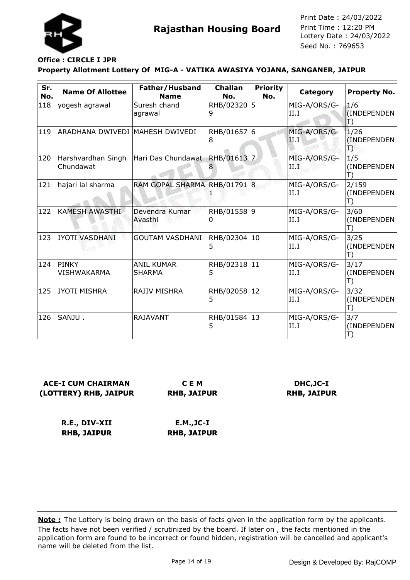

#### **Property Allotment Lottery Of MIG-A - VATIKA AWASIYA YOJANA, SANGANER, JAIPUR Office : CIRCLE I JPR**

| Sr.<br>No. | <b>Name Of Allottee</b>         | Father/Husband<br><b>Name</b>      | <b>Challan</b><br>No. | <b>Priority</b><br>No. | <b>Category</b>       | <b>Property No.</b>        |
|------------|---------------------------------|------------------------------------|-----------------------|------------------------|-----------------------|----------------------------|
| 118        | yogesh agrawal                  | Suresh chand<br>agrawal            | RHB/02320<br>9        | 5                      | MIG-A/ORS/G-<br>II.I  | 1/6<br>(INDEPENDEN<br>T)   |
| 119        | ARADHANA DWIVEDI MAHESH DWIVEDI |                                    | RHB/01657 6<br>8      |                        | MIG-A/ORS/G-<br>H.F   | 1/26<br>(INDEPENDEN<br>T)  |
| 120        | Harshvardhan Singh<br>Chundawat | Hari Das Chundawat RHB/01613       |                       | $\overline{z}$         | MIG-A/ORS/G-<br>T 138 | 1/5<br>(INDEPENDEN<br>T)   |
| 121        | hajari lal sharma               | RAM GOPAL SHARMA RHB/01791 8       |                       |                        | MIG-A/ORS/G-<br>II.I  | 2/159<br>(INDEPENDEN<br>T) |
| 122        | <b>KAMESH AWASTHI</b>           | Devendra Kumar<br>Avasthi          | RHB/01558 9<br>0      |                        | MIG-A/ORS/G-<br>II.I  | 3/60<br>(INDEPENDEN        |
| 123        | JYOTI VASDHANI                  | <b>GOUTAM VASDHANI</b>             | RHB/02304 10<br>5     |                        | MIG-A/ORS/G-<br>II.I  | 3/25<br>(INDEPENDEN<br>T)  |
| 124        | PINKY<br><b>VISHWAKARMA</b>     | <b>ANIL KUMAR</b><br><b>SHARMA</b> | RHB/02318 11<br>5     |                        | MIG-A/ORS/G-<br>II.I  | 3/17<br>(INDEPENDEN<br>T)  |
| 125        | <b>JYOTI MISHRA</b>             | RAJIV MISHRA                       | RHB/02058<br>5        | 12                     | MIG-A/ORS/G-<br>II.I  | 3/32<br>(INDEPENDEN<br>T)  |
| 126        | SANJU.                          | <b>RAJAVANT</b>                    | RHB/01584 13<br>5     |                        | MIG-A/ORS/G-<br>II.I  | 3/7<br>(INDEPENDEN         |

**ACE-I CUM CHAIRMAN (LOTTERY) RHB, JAIPUR**

**C E M RHB, JAIPUR**

**DHC,JC-I RHB, JAIPUR**

**R.E., DIV-XII RHB, JAIPUR E.M.,JC-I RHB, JAIPUR**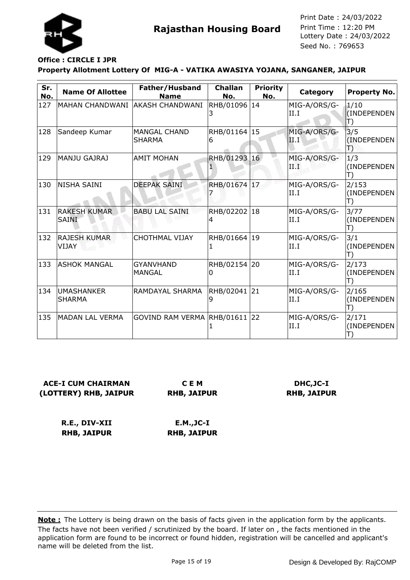

### **Office : CIRCLE I JPR**

#### **Property Allotment Lottery Of MIG-A - VATIKA AWASIYA YOJANA, SANGANER, JAIPUR**

| Sr.<br>No. | <b>Name Of Allottee</b>            | Father/Husband<br><b>Name</b>        | <b>Challan</b><br>No. | <b>Priority</b><br>No. | Category             | <b>Property No.</b>                       |
|------------|------------------------------------|--------------------------------------|-----------------------|------------------------|----------------------|-------------------------------------------|
| 127        | MAHAN CHANDWANI AKASH CHANDWANI    |                                      | RHB/01096 14<br>3.    |                        | MIG-A/ORS/G-<br>II.I | 1/10<br>(INDEPENDEN<br>$\ket{\mathsf{T}}$ |
| 128        | Sandeep Kumar                      | <b>MANGAL CHAND</b><br><b>SHARMA</b> | RHB/01164 15<br>6     |                        | MIG-A/ORS/G-<br>II.I | 3/5<br>(INDEPENDEN<br>Đ                   |
| 129        | <b>MANJU GAJRAJ</b>                | <b>AMIT MOHAN</b>                    | RHB/01293 16          |                        | MIG-A/ORS/G-<br>ПЪ   | 1/3<br>(INDEPENDEN<br>T)                  |
| 130        | NISHA SAINI                        | <b>DEEPAK SAINI</b>                  | RHB/01674 17          |                        | MIG-A/ORS/G-<br>II.I | 2/153<br>(INDEPENDEN<br>T)                |
| 131        | <b>RAKESH KUMAR</b><br>SAINI       | <b>BABU LAL SAINI</b>                | RHB/02202<br>4        | 18                     | MIG-A/ORS/G-<br>II.I | 3/77<br>(INDEPENDEN<br>T)                 |
| 132        | <b>RAJESH KUMAR</b><br>VIJAY       | <b>CHOTHMAL VIJAY</b>                | RHB/01664 19<br>1     |                        | MIG-A/ORS/G-<br>II.I | 3/1<br>(INDEPENDEN<br>T)                  |
| 133        | <b>ASHOK MANGAL</b>                | <b>GYANVHAND</b><br><b>MANGAL</b>    | RHB/02154 20<br>0     |                        | MIG-A/ORS/G-<br>II.I | 2/173<br>(INDEPENDEN<br>T)                |
| 134        | <b>UMASHANKER</b><br><b>SHARMA</b> | RAMDAYAL SHARMA                      | RHB/02041 21<br>9     |                        | MIG-A/ORS/G-<br>II.I | 2/165<br>(INDEPENDEN<br>T)                |
| 135        | <b>MADAN LAL VERMA</b>             | GOVIND RAM VERMA RHB/01611 22        |                       |                        | MIG-A/ORS/G-<br>II.I | 2/171<br>(INDEPENDEN                      |

### **ACE-I CUM CHAIRMAN (LOTTERY) RHB, JAIPUR**

**C E M RHB, JAIPUR**

### **DHC,JC-I RHB, JAIPUR**

**R.E., DIV-XII RHB, JAIPUR E.M.,JC-I RHB, JAIPUR**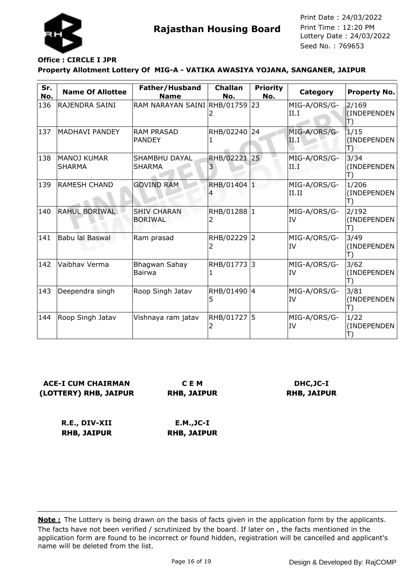

#### **Property Allotment Lottery Of MIG-A - VATIKA AWASIYA YOJANA, SANGANER, JAIPUR Office : CIRCLE I JPR**

| Sr.<br>No. | <b>Name Of Allottee</b>             | Father/Husband<br><b>Name</b>        | <b>Challan</b><br>No. | <b>Priority</b><br>No. | Category              | Property No.               |
|------------|-------------------------------------|--------------------------------------|-----------------------|------------------------|-----------------------|----------------------------|
| 136        | RAJENDRA SAINI                      | RAM NARAYAN SAINI RHB/01759          |                       | 23                     | MIG-A/ORS/G-<br>II.I  | 2/169<br>(INDEPENDEN<br>T) |
| 137        | <b>MADHAVI PANDEY</b>               | <b>RAM PRASAD</b><br><b>PANDEY</b>   | RHB/02240 24          |                        | MIG-A/ORS/G-<br>11. I | 1/15<br>(INDEPENDEN<br>Ð   |
| 138        | <b>MANOJ KUMAR</b><br><b>SHARMA</b> | SHAMBHU DAYAL<br><b>SHARMA</b>       | RHB/02221 25<br>3     |                        | MIG-A/ORS/G-<br>ПW    | 3/34<br>(INDEPENDEN<br>T)  |
| 139        | <b>RAMESH CHAND</b>                 | <b>GOVIND RAM</b>                    | RHB/01404 1           |                        | MIG-A/ORS/G-<br>II.II | 1/206<br>(INDEPENDEN<br>T) |
| 140        | RAHUL BORIWAL                       | <b>SHIV CHARAN</b><br><b>BORIWAL</b> | RHB/01288 1           |                        | MIG-A/ORS/G-<br>IV    | 2/192<br>(INDEPENDEN<br>T) |
| 141        | Babu lal Baswal                     | Ram prasad                           | RHB/02229 2<br>2      |                        | MIG-A/ORS/G-<br>IV    | 3/49<br>(INDEPENDEN<br>T)  |
| 142        | Vaibhav Verma                       | Bhagwan Sahay<br>Bairwa              | RHB/01773 3<br>ı      |                        | MIG-A/ORS/G-<br>IV    | 3/62<br>(INDEPENDEN<br>T)  |
| 143        | Deependra singh                     | Roop Singh Jatav                     | RHB/01490 4<br>5      |                        | MIG-A/ORS/G-<br>IV    | 3/81<br>(INDEPENDEN<br>T)  |
| 144        | Roop Singh Jatav                    | Vishnaya ram jatav                   | RHB/01727 5           |                        | MIG-A/ORS/G-<br>IV    | 1/22<br>(INDEPENDEN        |

**ACE-I CUM CHAIRMAN (LOTTERY) RHB, JAIPUR**

**C E M RHB, JAIPUR**

**DHC,JC-I RHB, JAIPUR**

**R.E., DIV-XII RHB, JAIPUR E.M.,JC-I RHB, JAIPUR**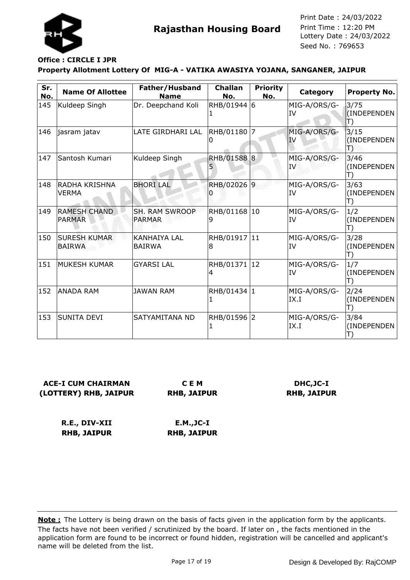

#### **Property Allotment Lottery Of MIG-A - VATIKA AWASIYA YOJANA, SANGANER, JAIPUR Office : CIRCLE I JPR**

| Sr.<br>No. | <b>Name Of Allottee</b>              | Father/Husband<br><b>Name</b>   | <b>Challan</b><br>No. | <b>Priority</b><br>No. | Category                  | <b>Property No.</b>       |
|------------|--------------------------------------|---------------------------------|-----------------------|------------------------|---------------------------|---------------------------|
| 145        | Kuldeep Singh                        | Dr. Deepchand Koli              | RHB/01944 6           |                        | MIG-A/ORS/G-<br>IV        | 3/75<br>(INDEPENDEN<br>T) |
| 146        | jasram jatav                         | LATE GIRDHARI LAL               | RHB/01180 7<br>10     |                        | MIG-A/ORS/G-<br><b>IV</b> | 3/15<br>(INDEPENDEN<br>ТЭ |
| 147        | Santosh Kumari                       | Kuldeep Singh                   | RHB/01588 8           |                        | MIG-A/ORS/G-<br>IV.       | 3/46<br>(INDEPENDEN<br>T) |
| 148        | IRADHA KRISHNA<br><b>VERMA</b>       | <b>BHORILAL</b>                 | RHB/02026 9           |                        | MIG-A/ORS/G-<br>IV        | 3/63<br>(INDEPENDEN<br>T) |
| 149        | <b>RAMESH CHAND</b><br><b>PARMAR</b> | SH. RAM SWROOP<br><b>PARMAR</b> | RHB/01168 10<br>9     |                        | MIG-A/ORS/G-<br>IV        | 1/2<br>(INDEPENDEN<br>T)  |
| 150        | <b>SURESH KUMAR</b><br><b>BAIRWA</b> | İKANHAIYA LAL<br><b>BAIRWA</b>  | RHB/01917 11<br>18    |                        | MIG-A/ORS/G-<br>IV        | 3/28<br>(INDEPENDEN<br>T) |
| 151        | <b>MUKESH KUMAR</b>                  | <b>GYARSI LAL</b>               | RHB/01371 12<br>4     |                        | MIG-A/ORS/G-<br>IV        | 1/7<br>(INDEPENDEN        |
| 152        | <b>ANADA RAM</b>                     | <b>JAWAN RAM</b>                | RHB/01434 1           |                        | MIG-A/ORS/G-<br>IX.I      | 2/24<br>(INDEPENDEN<br>T) |
| 153        | <b>SUNITA DEVI</b>                   | SATYAMITANA ND                  | RHB/01596 2           |                        | MIG-A/ORS/G-<br>IX.I      | 3/84<br>(INDEPENDEN       |

**ACE-I CUM CHAIRMAN (LOTTERY) RHB, JAIPUR**

**C E M RHB, JAIPUR**

**DHC,JC-I RHB, JAIPUR**

**R.E., DIV-XII RHB, JAIPUR E.M.,JC-I RHB, JAIPUR**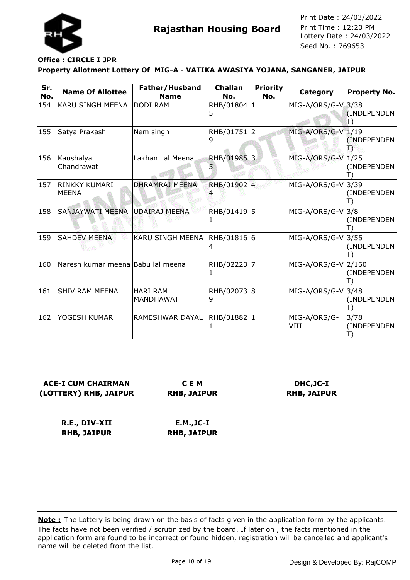

### **Property Allotment Lottery Of MIG-A - VATIKA AWASIYA YOJANA, SANGANER, JAIPUR Office : CIRCLE I JPR**

| Sr.<br>No. | <b>Name Of Allottee</b>           | Father/Husband<br><b>Name</b> | <b>Challan</b><br>No. | <b>Priority</b><br>No. | Category             | <b>Property No.</b>       |
|------------|-----------------------------------|-------------------------------|-----------------------|------------------------|----------------------|---------------------------|
| 154        | KARU SINGH MEENA                  | DODI RAM                      | RHB/01804 1<br>5      |                        | $MIG-A/ORS/G-V 3/38$ | (INDEPENDEN               |
| 155        | Satya Prakash                     | Nem singh                     | RHB/01751 2           |                        | MIG-A/ORS/G-V        | 1/19<br>(INDEPENDEN<br>ТЭ |
| 156        | Kaushalya<br>Chandrawat           | Lakhan Lal Meena              | RHB/01985 3<br>Ь      |                        | MIG-A/ORS/G-V        | 1/25<br>(INDEPENDEN       |
| 157        | RINKKY KUMARI<br><b>MEENA</b>     | <b>DHRAMRAJ MEENA</b>         | RHB/01902 4           |                        | MIG-A/ORS/G-V        | 3/39<br>(INDEPENDEN       |
| 158        | SANJAYWATI MEENA                  | UDAIRAJ MEENA                 | RHB/01419 5           |                        | MIG-A/ORS/G-V        | 3/8<br>(INDEPENDEN        |
| 159        | <b>SAHDEV MEENA</b>               | <b>KARU SINGH MEENA</b>       | RHB/01816  6<br>4     |                        | MIG-A/ORS/G-V        | 3/55<br>(INDEPENDEN       |
| 160        | Naresh kumar meena Babu lal meena |                               | RHB/02223             | 7                      | MIG-A/ORS/G-V 2/160  | (INDEPENDEN               |
| 161        | <b>SHIV RAM MEENA</b>             | <b>HARI RAM</b><br> MANDHAWAT | RHB/02073 8<br>9      |                        | $MIG-A/ORS/G-V$      | 3/48<br>(INDEPENDEN       |
| 162        | YOGESH KUMAR                      | RAMESHWAR DAYAL               | RHB/01882 1           |                        | MIG-A/ORS/G-<br>VIII | 3/78<br>(INDEPENDEN       |

**ACE-I CUM CHAIRMAN (LOTTERY) RHB, JAIPUR C E M**

**RHB, JAIPUR**

**DHC,JC-I RHB, JAIPUR**

**R.E., DIV-XII RHB, JAIPUR E.M.,JC-I RHB, JAIPUR**